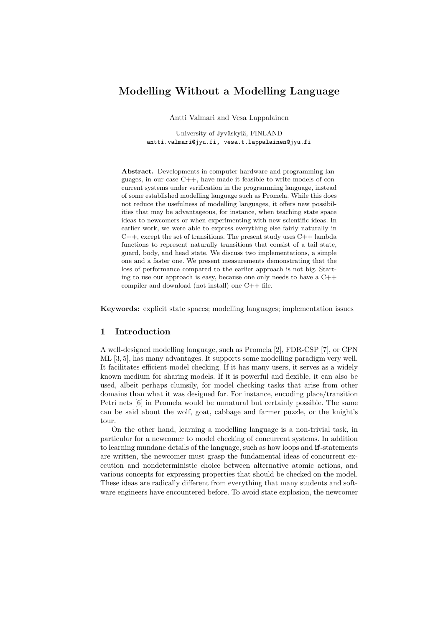# Modelling Without a Modelling Language

Antti Valmari and Vesa Lappalainen

University of Jyväskylä, FINLAND antti.valmari@jyu.fi, vesa.t.lappalainen@jyu.fi

Abstract. Developments in computer hardware and programming languages, in our case  $C_{++}$ , have made it feasible to write models of concurrent systems under verification in the programming language, instead of some established modelling language such as Promela. While this does not reduce the usefulness of modelling languages, it offers new possibilities that may be advantageous, for instance, when teaching state space ideas to newcomers or when experimenting with new scientific ideas. In earlier work, we were able to express everything else fairly naturally in  $C_{++}$ , except the set of transitions. The present study uses  $C_{++}$  lambda functions to represent naturally transitions that consist of a tail state, guard, body, and head state. We discuss two implementations, a simple one and a faster one. We present measurements demonstrating that the loss of performance compared to the earlier approach is not big. Starting to use our approach is easy, because one only needs to have a  $C++$ compiler and download (not install) one C++ file.

Keywords: explicit state spaces; modelling languages; implementation issues

## 1 Introduction

A well-designed modelling language, such as Promela [2], FDR-CSP [7], or CPN ML [3, 5], has many advantages. It supports some modelling paradigm very well. It facilitates efficient model checking. If it has many users, it serves as a widely known medium for sharing models. If it is powerful and flexible, it can also be used, albeit perhaps clumsily, for model checking tasks that arise from other domains than what it was designed for. For instance, encoding place/transition Petri nets [6] in Promela would be unnatural but certainly possible. The same can be said about the wolf, goat, cabbage and farmer puzzle, or the knight's tour.

On the other hand, learning a modelling language is a non-trivial task, in particular for a newcomer to model checking of concurrent systems. In addition to learning mundane details of the language, such as how loops and if-statements are written, the newcomer must grasp the fundamental ideas of concurrent execution and nondeterministic choice between alternative atomic actions, and various concepts for expressing properties that should be checked on the model. These ideas are radically different from everything that many students and software engineers have encountered before. To avoid state explosion, the newcomer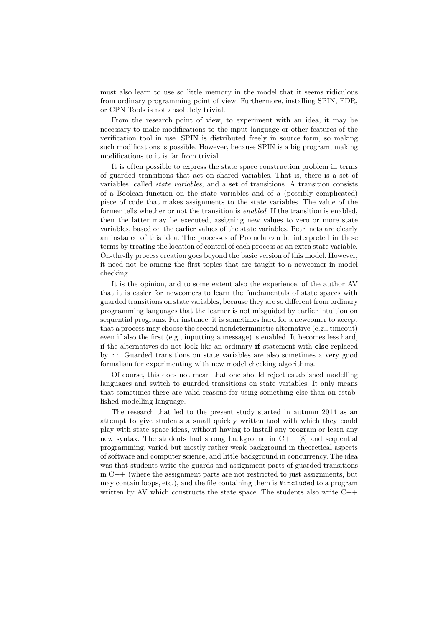must also learn to use so little memory in the model that it seems ridiculous from ordinary programming point of view. Furthermore, installing SPIN, FDR, or CPN Tools is not absolutely trivial.

From the research point of view, to experiment with an idea, it may be necessary to make modifications to the input language or other features of the verification tool in use. SPIN is distributed freely in source form, so making such modifications is possible. However, because SPIN is a big program, making modifications to it is far from trivial.

It is often possible to express the state space construction problem in terms of guarded transitions that act on shared variables. That is, there is a set of variables, called state variables, and a set of transitions. A transition consists of a Boolean function on the state variables and of a (possibly complicated) piece of code that makes assignments to the state variables. The value of the former tells whether or not the transition is enabled. If the transition is enabled, then the latter may be executed, assigning new values to zero or more state variables, based on the earlier values of the state variables. Petri nets are clearly an instance of this idea. The processes of Promela can be interpreted in these terms by treating the location of control of each process as an extra state variable. On-the-fly process creation goes beyond the basic version of this model. However, it need not be among the first topics that are taught to a newcomer in model checking.

It is the opinion, and to some extent also the experience, of the author AV that it is easier for newcomers to learn the fundamentals of state spaces with guarded transitions on state variables, because they are so different from ordinary programming languages that the learner is not misguided by earlier intuition on sequential programs. For instance, it is sometimes hard for a newcomer to accept that a process may choose the second nondeterministic alternative (e.g., timeout) even if also the first (e.g., inputting a message) is enabled. It becomes less hard, if the alternatives do not look like an ordinary if-statement with else replaced by ::. Guarded transitions on state variables are also sometimes a very good formalism for experimenting with new model checking algorithms.

Of course, this does not mean that one should reject established modelling languages and switch to guarded transitions on state variables. It only means that sometimes there are valid reasons for using something else than an established modelling language.

The research that led to the present study started in autumn 2014 as an attempt to give students a small quickly written tool with which they could play with state space ideas, without having to install any program or learn any new syntax. The students had strong background in  $C++$  [8] and sequential programming, varied but mostly rather weak background in theoretical aspects of software and computer science, and little background in concurrency. The idea was that students write the guards and assignment parts of guarded transitions in C++ (where the assignment parts are not restricted to just assignments, but may contain loops, etc.), and the file containing them is #included to a program written by AV which constructs the state space. The students also write  $C++$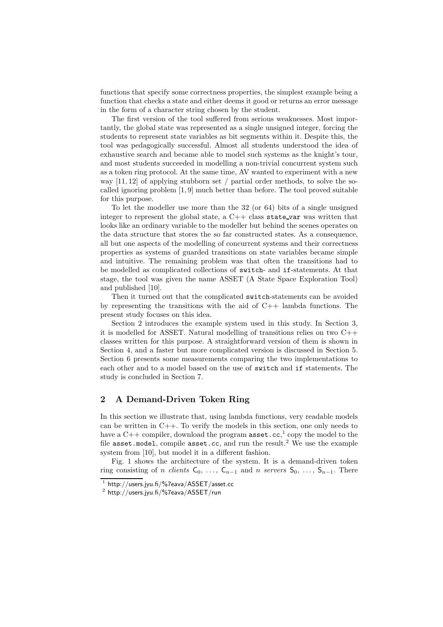functions that specify some correctness properties, the simplest example being a function that checks a state and either deems it good or returns an error message in the form of a character string chosen by the student.

The first version of the tool suffered from serious weaknesses. Most importantly, the global state was represented as a single unsigned integer, forcing the students to represent state variables as bit segments within it. Despite this, the tool was pedagogically successful. Almost all students understood the idea of exhaustive search and became able to model such systems as the knight's tour, and most students succeeded in modelling a non-trivial concurrent system such as a token ring protocol. At the same time, AV wanted to experiment with a new way  $[11, 12]$  of applying stubborn set / partial order methods, to solve the socalled ignoring problem [1, 9] much better than before. The tool proved suitable for this purpose.

To let the modeller use more than the 32 (or 64) bits of a single unsigned integer to represent the global state, a  $C++$  class state var was written that looks like an ordinary variable to the modeller but behind the scenes operates on the data structure that stores the so far constructed states. As a consequence, all but one aspects of the modelling of concurrent systems and their correctness properties as systems of guarded transitions on state variables became simple and intuitive. The remaining problem was that often the transitions had to be modelled as complicated collections of switch- and if-statements. At that stage, the tool was given the name ASSET (A State Space Exploration Tool) and published [10].

Then it turned out that the complicated switch-statements can be avoided by representing the transitions with the aid of C++ lambda functions. The present study focuses on this idea.

Section 2 introduces the example system used in this study. In Section 3, it is modelled for ASSET. Natural modelling of transitions relies on two  $C_{++}$ classes written for this purpose. A straightforward version of them is shown in Section 4, and a faster but more complicated version is discussed in Section 5. Section 6 presents some measurements comparing the two implementations to each other and to a model based on the use of switch and if statements. The study is concluded in Section 7.

### 2 A Demand-Driven Token Ring

In this section we illustrate that, using lambda functions, very readable models can be written in  $C++$ . To verify the models in this section, one only needs to have a C++ compiler, download the program  $\texttt{asset}.\texttt{cc}, \text{1}$  copy the model to the file asset.model, compile asset.cc, and run the result.<sup>2</sup> We use the example system from [10], but model it in a different fashion.

Fig. 1 shows the architecture of the system. It is a demand-driven token ring consisting of *n clients*  $C_0, \ldots, C_{n-1}$  and *n servers*  $S_0, \ldots, S_{n-1}$ . There

 $^1$  http://users.jyu.fi/%7eava/ASSET/asset.cc

 $^2$  http://users.jyu.fi/%7eava/ASSET/run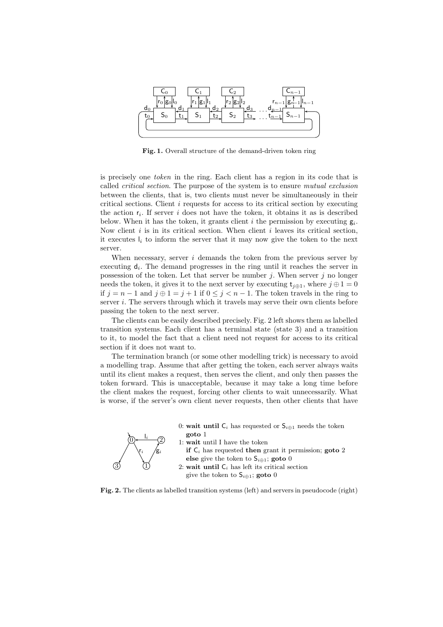

Fig. 1. Overall structure of the demand-driven token ring

is precisely one token in the ring. Each client has a region in its code that is called critical section. The purpose of the system is to ensure mutual exclusion between the clients, that is, two clients must never be simultaneously in their critical sections. Client  $i$  requests for access to its critical section by executing the action  $r_i$ . If server i does not have the token, it obtains it as is described below. When it has the token, it grants client i the permission by executing  $g_i$ . Now client  $i$  is in its critical section. When client  $i$  leaves its critical section, it executes  $I_i$  to inform the server that it may now give the token to the next server.

When necessary, server  $i$  demands the token from the previous server by executing  $d_i$ . The demand progresses in the ring until it reaches the server in possession of the token. Let that server be number  $j$ . When server  $j$  no longer needs the token, it gives it to the next server by executing  $t_{i \oplus 1}$ , where  $j \oplus 1 = 0$ if  $j = n - 1$  and  $j ⊕ 1 = j + 1$  if  $0 ≤ j < n - 1$ . The token travels in the ring to server *i*. The servers through which it travels may serve their own clients before passing the token to the next server.

The clients can be easily described precisely. Fig. 2 left shows them as labelled transition systems. Each client has a terminal state (state 3) and a transition to it, to model the fact that a client need not request for access to its critical section if it does not want to.

The termination branch (or some other modelling trick) is necessary to avoid a modelling trap. Assume that after getting the token, each server always waits until its client makes a request, then serves the client, and only then passes the token forward. This is unacceptable, because it may take a long time before the client makes the request, forcing other clients to wait unnecessarily. What is worse, if the server's own client never requests, then other clients that have



Fig. 2. The clients as labelled transition systems (left) and servers in pseudocode (right)

3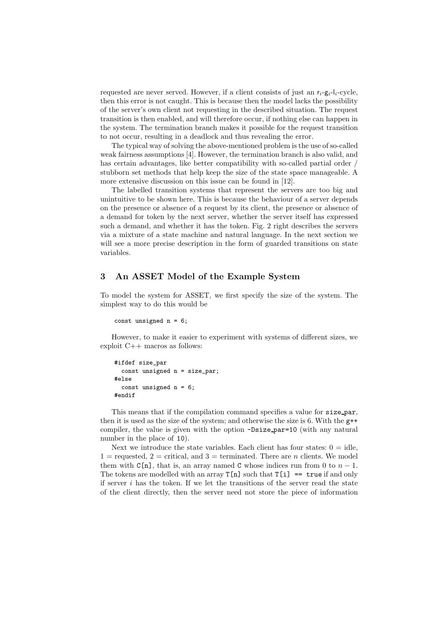requested are never served. However, if a client consists of just an  $r_i-g_i-l_i$ -cycle, then this error is not caught. This is because then the model lacks the possibility of the server's own client not requesting in the described situation. The request transition is then enabled, and will therefore occur, if nothing else can happen in the system. The termination branch makes it possible for the request transition to not occur, resulting in a deadlock and thus revealing the error.

The typical way of solving the above-mentioned problem is the use of so-called weak fairness assumptions [4]. However, the termination branch is also valid, and has certain advantages, like better compatibility with so-called partial order / stubborn set methods that help keep the size of the state space manageable. A more extensive discussion on this issue can be found in [12].

The labelled transition systems that represent the servers are too big and unintuitive to be shown here. This is because the behaviour of a server depends on the presence or absence of a request by its client, the presence or absence of a demand for token by the next server, whether the server itself has expressed such a demand, and whether it has the token. Fig. 2 right describes the servers via a mixture of a state machine and natural language. In the next section we will see a more precise description in the form of guarded transitions on state variables.

#### 3 An ASSET Model of the Example System

To model the system for ASSET, we first specify the size of the system. The simplest way to do this would be

const unsigned  $n = 6$ ;

However, to make it easier to experiment with systems of different sizes, we exploit C++ macros as follows:

```
#ifdef size_par
  const unsigned n = size_par;
#else
  const unsigned n = 6;
#endif
```
This means that if the compilation command specifies a value for size par, then it is used as the size of the system; and otherwise the size is 6. With the  $g$ ++ compiler, the value is given with the option -Dsize\_par=10 (with any natural number in the place of 10).

Next we introduce the state variables. Each client has four states:  $0 = id$ le,  $1 =$  requested,  $2 =$  critical, and  $3 =$  terminated. There are *n* clients. We model them with C[n], that is, an array named C whose indices run from 0 to  $n-1$ . The tokens are modelled with an array  $T[n]$  such that  $T[i]$  == true if and only if server  $i$  has the token. If we let the transitions of the server read the state of the client directly, then the server need not store the piece of information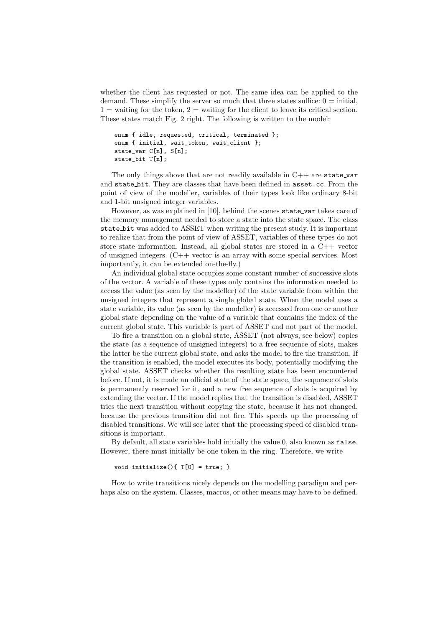whether the client has requested or not. The same idea can be applied to the demand. These simplify the server so much that three states suffice:  $0 = \text{initial}$ ,  $1 =$  waiting for the token,  $2 =$  waiting for the client to leave its critical section. These states match Fig. 2 right. The following is written to the model:

```
enum { idle, requested, critical, terminated };
enum { initial, wait_token, wait_client };
state_var C[n], S[n];
state_bit T[n];
```
The only things above that are not readily available in  $C++$  are state\_var and state bit. They are classes that have been defined in asset.cc. From the point of view of the modeller, variables of their types look like ordinary 8-bit and 1-bit unsigned integer variables.

However, as was explained in [10], behind the scenes state\_var takes care of the memory management needed to store a state into the state space. The class state bit was added to ASSET when writing the present study. It is important to realize that from the point of view of ASSET, variables of these types do not store state information. Instead, all global states are stored in a C++ vector of unsigned integers. (C++ vector is an array with some special services. Most importantly, it can be extended on-the-fly.)

An individual global state occupies some constant number of successive slots of the vector. A variable of these types only contains the information needed to access the value (as seen by the modeller) of the state variable from within the unsigned integers that represent a single global state. When the model uses a state variable, its value (as seen by the modeller) is accessed from one or another global state depending on the value of a variable that contains the index of the current global state. This variable is part of ASSET and not part of the model.

To fire a transition on a global state, ASSET (not always, see below) copies the state (as a sequence of unsigned integers) to a free sequence of slots, makes the latter be the current global state, and asks the model to fire the transition. If the transition is enabled, the model executes its body, potentially modifying the global state. ASSET checks whether the resulting state has been encountered before. If not, it is made an official state of the state space, the sequence of slots is permanently reserved for it, and a new free sequence of slots is acquired by extending the vector. If the model replies that the transition is disabled, ASSET tries the next transition without copying the state, because it has not changed, because the previous transition did not fire. This speeds up the processing of disabled transitions. We will see later that the processing speed of disabled transitions is important.

By default, all state variables hold initially the value 0, also known as false. However, there must initially be one token in the ring. Therefore, we write

void initialize $()$ { T[0] = true; }

How to write transitions nicely depends on the modelling paradigm and perhaps also on the system. Classes, macros, or other means may have to be defined.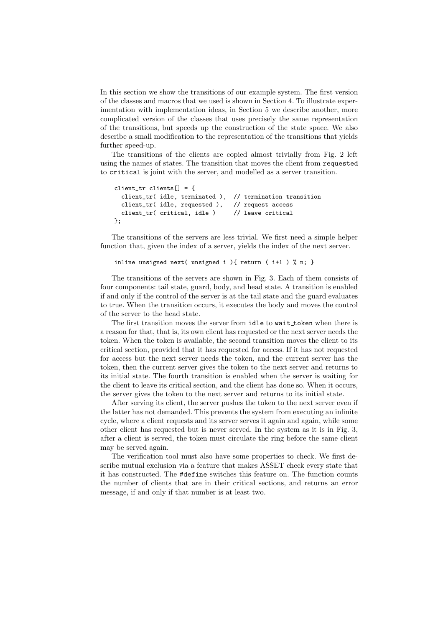In this section we show the transitions of our example system. The first version of the classes and macros that we used is shown in Section 4. To illustrate experimentation with implementation ideas, in Section 5 we describe another, more complicated version of the classes that uses precisely the same representation of the transitions, but speeds up the construction of the state space. We also describe a small modification to the representation of the transitions that yields further speed-up.

The transitions of the clients are copied almost trivially from Fig. 2 left using the names of states. The transition that moves the client from requested to critical is joint with the server, and modelled as a server transition.

```
client_tr clients[] = {
  client_tr( idle, terminated ), // termination transition
  client_tr( idle, requested ), // request access
  client_tr( critical, idle ) // leave critical
};
```
The transitions of the servers are less trivial. We first need a simple helper function that, given the index of a server, yields the index of the next server.

#### inline unsigned next( unsigned i ){ return ( i+1 ) % n; }

The transitions of the servers are shown in Fig. 3. Each of them consists of four components: tail state, guard, body, and head state. A transition is enabled if and only if the control of the server is at the tail state and the guard evaluates to true. When the transition occurs, it executes the body and moves the control of the server to the head state.

The first transition moves the server from **idle** to **wait\_token** when there is a reason for that, that is, its own client has requested or the next server needs the token. When the token is available, the second transition moves the client to its critical section, provided that it has requested for access. If it has not requested for access but the next server needs the token, and the current server has the token, then the current server gives the token to the next server and returns to its initial state. The fourth transition is enabled when the server is waiting for the client to leave its critical section, and the client has done so. When it occurs, the server gives the token to the next server and returns to its initial state.

After serving its client, the server pushes the token to the next server even if the latter has not demanded. This prevents the system from executing an infinite cycle, where a client requests and its server serves it again and again, while some other client has requested but is never served. In the system as it is in Fig. 3, after a client is served, the token must circulate the ring before the same client may be served again.

The verification tool must also have some properties to check. We first describe mutual exclusion via a feature that makes ASSET check every state that it has constructed. The #define switches this feature on. The function counts the number of clients that are in their critical sections, and returns an error message, if and only if that number is at least two.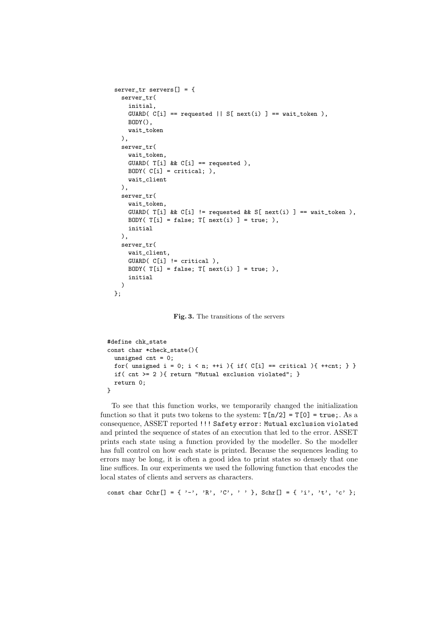```
server_tr servers[] = {
  server_tr(
    initial,
    GUARD( C[i] == requested || S[ next(i) ] == wait_token ),
   BODY(),
    wait_token
  ),
  server_tr(
    wait_token,
    GUARD(T[i] & C[i] == requested),
    BODY(C[i] = critical; ),
    wait_client
  ),
  server_tr(
    wait_token,
    GUARD( T[i] & C[i] != requested & S[ next(i) ] == wait_token ),
    BODY(T[i] = false; T[next(i)] = true; ),
    initial
  ),
  server_tr(
    wait_client,
    GUARD( C[i] != critical ),
    BODY(T[i] = false; T[next(i)] = true; ),
    initial
  )
};
```
Fig. 3. The transitions of the servers

```
#define chk_state
const char *check_state(){
  unsigned cnt = 0;
  for( unsigned i = 0; i < n; ++i ){ if( C[i] == critical ){ ++cnt; } }
  if( cnt >= 2 ){ return "Mutual exclusion violated"; }
  return 0;
}
```
To see that this function works, we temporarily changed the initialization function so that it puts two tokens to the system:  $T[n/2] = T[0] = true$ ;. As a consequence, ASSET reported !!! Safety error: Mutual exclusion violated and printed the sequence of states of an execution that led to the error. ASSET prints each state using a function provided by the modeller. So the modeller has full control on how each state is printed. Because the sequences leading to errors may be long, it is often a good idea to print states so densely that one line suffices. In our experiments we used the following function that encodes the local states of clients and servers as characters.

```
const char Cchr[] = { '-', 'R', 'C', ' ' }, Schr[] = { 'i', 't', 'c' };
```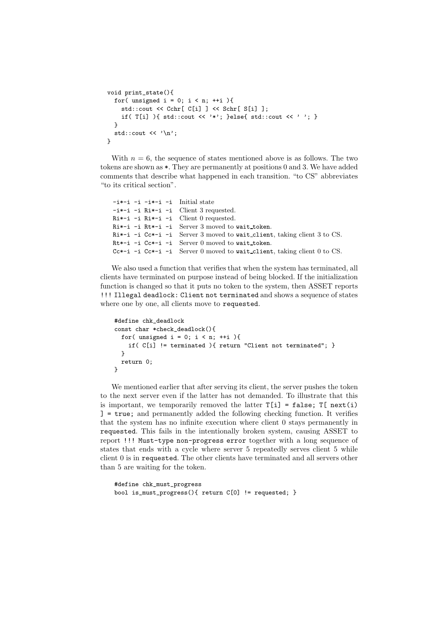```
void print_state(){
  for( unsigned i = 0; i < n; ++i ){
    std::cout << Cchr[ C[i] ] << Schr[ S[i] ];
    if( T[i] ){ std::cout << '*'; }else{ std::cout << ' '; }
  }
  std::cout \langle \cdot \rangle \;
}
```
With  $n = 6$ , the sequence of states mentioned above is as follows. The two tokens are shown as \*. They are permanently at positions 0 and 3. We have added comments that describe what happened in each transition. "to CS" abbreviates "to its critical section".

```
-i*-i -i -i*-i -i Initial state
-i*-i -i Ri*-i -i Client 3 requested.
Ri*-i -i Ri*-i -i Client 0 requested.
Ri*-i -i Rt*-i -i Server 3 moved to wait token.
Ri*-i -i Cc*-i -i Server 3 moved to wait client, taking client 3 to CS.
Rt*-i -i Cc*-i -i Server 0 moved to wait token.
Cc*-i -i Cc*-i -i Server 0 moved to wait client, taking client 0 to CS.
```
We also used a function that verifies that when the system has terminated, all clients have terminated on purpose instead of being blocked. If the initialization function is changed so that it puts no token to the system, then ASSET reports !!! Illegal deadlock: Client not terminated and shows a sequence of states where one by one, all clients move to requested.

```
#define chk_deadlock
const char *check_deadlock(){
  for( unsigned i = 0; i < n; ++i ){
    if( C[i] != terminated ){ return "Client not terminated"; }
 }
 return 0;
}
```
We mentioned earlier that after serving its client, the server pushes the token to the next server even if the latter has not demanded. To illustrate that this is important, we temporarily removed the latter  $T[i] = false$ ;  $T[next(i)]$ ] = true; and permanently added the following checking function. It verifies that the system has no infinite execution where client 0 stays permanently in requested. This fails in the intentionally broken system, causing ASSET to report !!! Must-type non-progress error together with a long sequence of states that ends with a cycle where server 5 repeatedly serves client 5 while client 0 is in requested. The other clients have terminated and all servers other than 5 are waiting for the token.

```
#define chk_must_progress
bool is_must_progress(){ return C[0] != requested; }
```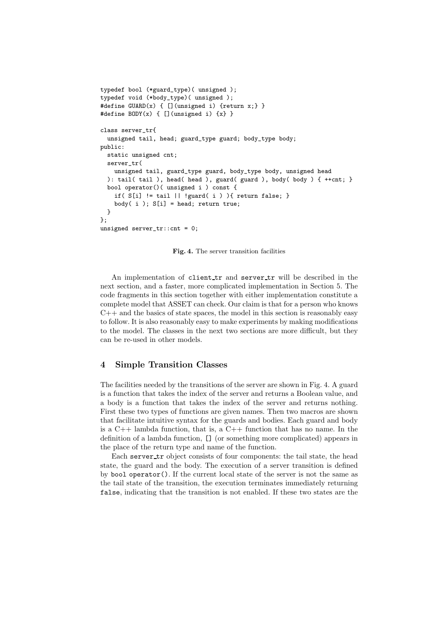```
typedef bool (*guard_type)( unsigned );
typedef void (*body_type)( unsigned );
#define GUARD(x) \{ [] (unsigned i) {return x; } }
#define BODY(x) { [] (unsigned i) \{x\} }
class server_tr{
 unsigned tail, head; guard_type guard; body_type body;
public:
 static unsigned cnt;
 server_tr(
    unsigned tail, guard_type guard, body_type body, unsigned head
  ): tail( tail ), head( head ), guard( guard ), body( body ) { ++cnt; }
  bool operator()( unsigned i ) const {
    if( S[i] != tail || !guard( i ) ){ return false; }
    body(i); S[i] = head; return true;
 }
};
unsigned server_tr::cnt = 0;
```
Fig. 4. The server transition facilities

An implementation of client tr and server tr will be described in the next section, and a faster, more complicated implementation in Section 5. The code fragments in this section together with either implementation constitute a complete model that ASSET can check. Our claim is that for a person who knows  $C++$  and the basics of state spaces, the model in this section is reasonably easy to follow. It is also reasonably easy to make experiments by making modifications to the model. The classes in the next two sections are more difficult, but they can be re-used in other models.

### 4 Simple Transition Classes

The facilities needed by the transitions of the server are shown in Fig. 4. A guard is a function that takes the index of the server and returns a Boolean value, and a body is a function that takes the index of the server and returns nothing. First these two types of functions are given names. Then two macros are shown that facilitate intuitive syntax for the guards and bodies. Each guard and body is a  $C_{++}$  lambda function, that is, a  $C_{++}$  function that has no name. In the definition of a lambda function, [] (or something more complicated) appears in the place of the return type and name of the function.

Each server tr object consists of four components: the tail state, the head state, the guard and the body. The execution of a server transition is defined by bool operator(). If the current local state of the server is not the same as the tail state of the transition, the execution terminates immediately returning false, indicating that the transition is not enabled. If these two states are the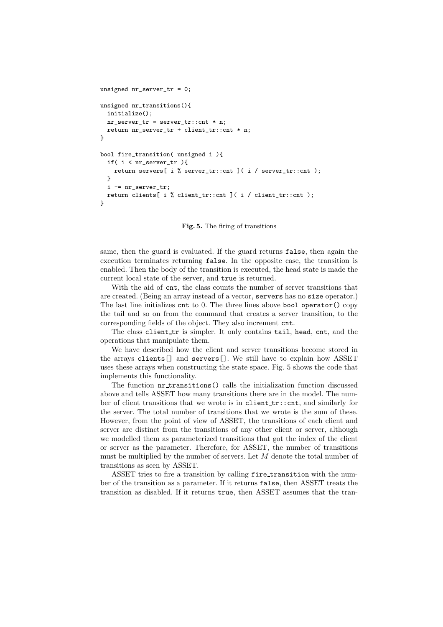```
unsigned nr_server_tr = 0;
unsigned nr_transitions(){
  initialize();
 nr\_server\_tr = server\_tr::cnt * n;return nr server tr + client tr::cnt * n;
}
bool fire_transition( unsigned i ){
  if( i < nr_server_tr ){
    return servers[ i % server_tr::cnt ]( i / server_tr::cnt );
 }
 i -= nr_server_tr;
 return clients[ i % client_tr::cnt ]( i / client_tr::cnt );
}
```
Fig. 5. The firing of transitions

same, then the guard is evaluated. If the guard returns false, then again the execution terminates returning false. In the opposite case, the transition is enabled. Then the body of the transition is executed, the head state is made the current local state of the server, and true is returned.

With the aid of cnt, the class counts the number of server transitions that are created. (Being an array instead of a vector, servers has no size operator.) The last line initializes cnt to 0. The three lines above bool operator() copy the tail and so on from the command that creates a server transition, to the corresponding fields of the object. They also increment cnt.

The class client tr is simpler. It only contains tail, head, cnt, and the operations that manipulate them.

We have described how the client and server transitions become stored in the arrays clients[] and servers[]. We still have to explain how ASSET uses these arrays when constructing the state space. Fig. 5 shows the code that implements this functionality.

The function nr transitions() calls the initialization function discussed above and tells ASSET how many transitions there are in the model. The number of client transitions that we wrote is in client tr::cnt, and similarly for the server. The total number of transitions that we wrote is the sum of these. However, from the point of view of ASSET, the transitions of each client and server are distinct from the transitions of any other client or server, although we modelled them as parameterized transitions that got the index of the client or server as the parameter. Therefore, for ASSET, the number of transitions must be multiplied by the number of servers. Let  $M$  denote the total number of transitions as seen by ASSET.

ASSET tries to fire a transition by calling fire transition with the number of the transition as a parameter. If it returns false, then ASSET treats the transition as disabled. If it returns true, then ASSET assumes that the tran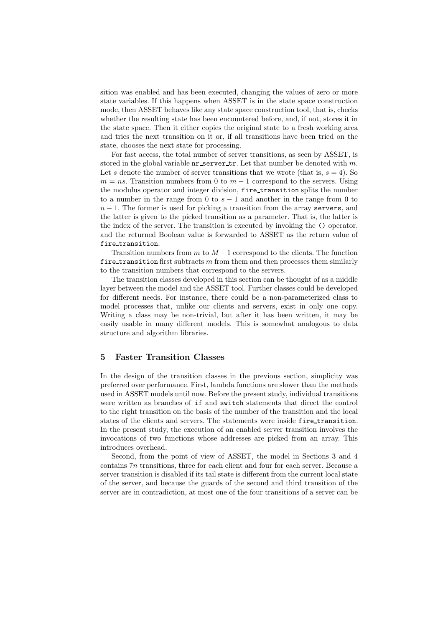sition was enabled and has been executed, changing the values of zero or more state variables. If this happens when ASSET is in the state space construction mode, then ASSET behaves like any state space construction tool, that is, checks whether the resulting state has been encountered before, and, if not, stores it in the state space. Then it either copies the original state to a fresh working area and tries the next transition on it or, if all transitions have been tried on the state, chooses the next state for processing.

For fast access, the total number of server transitions, as seen by ASSET, is stored in the global variable  $n r$ -server-tr. Let that number be denoted with m. Let s denote the number of server transitions that we wrote (that is,  $s = 4$ ). So  $m = ns$ . Transition numbers from 0 to  $m - 1$  correspond to the servers. Using the modulus operator and integer division, fire transition splits the number to a number in the range from 0 to  $s - 1$  and another in the range from 0 to  $n-1$ . The former is used for picking a transition from the array servers, and the latter is given to the picked transition as a parameter. That is, the latter is the index of the server. The transition is executed by invoking the () operator, and the returned Boolean value is forwarded to ASSET as the return value of fire transition.

Transition numbers from m to  $M-1$  correspond to the clients. The function fire transition first subtracts  $m$  from them and then processes them similarly to the transition numbers that correspond to the servers.

The transition classes developed in this section can be thought of as a middle layer between the model and the ASSET tool. Further classes could be developed for different needs. For instance, there could be a non-parameterized class to model processes that, unlike our clients and servers, exist in only one copy. Writing a class may be non-trivial, but after it has been written, it may be easily usable in many different models. This is somewhat analogous to data structure and algorithm libraries.

#### 5 Faster Transition Classes

In the design of the transition classes in the previous section, simplicity was preferred over performance. First, lambda functions are slower than the methods used in ASSET models until now. Before the present study, individual transitions were written as branches of if and switch statements that direct the control to the right transition on the basis of the number of the transition and the local states of the clients and servers. The statements were inside fire transition. In the present study, the execution of an enabled server transition involves the invocations of two functions whose addresses are picked from an array. This introduces overhead.

Second, from the point of view of ASSET, the model in Sections 3 and 4 contains  $7n$  transitions, three for each client and four for each server. Because a server transition is disabled if its tail state is different from the current local state of the server, and because the guards of the second and third transition of the server are in contradiction, at most one of the four transitions of a server can be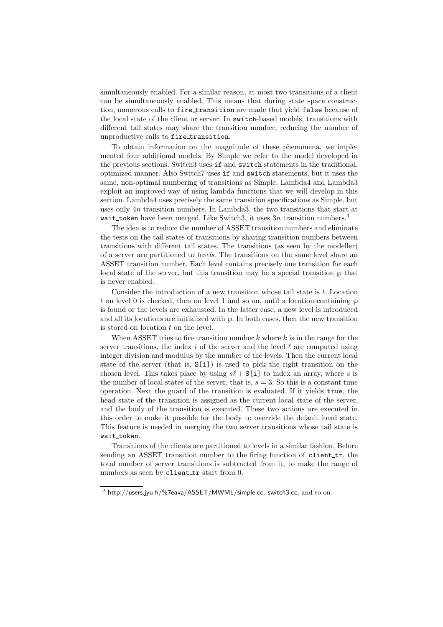simultaneously enabled. For a similar reason, at most two transitions of a client can be simultaneously enabled. This means that during state space construction, numerous calls to fire transition are made that yield false because of the local state of the client or server. In switch-based models, transitions with different tail states may share the transition number, reducing the number of unproductive calls to fire transition.

To obtain information on the magnitude of these phenomena, we implemented four additional models. By Simple we refer to the model developed in the previous sections. Switch3 uses if and switch statements in the traditional, optimized manner. Also Switch7 uses if and switch statements, but it uses the same, non-optimal numbering of transitions as Simple. Lambda4 and Lambda3 exploit an improved way of using lambda functions that we will develop in this section. Lambda4 uses precisely the same transition specifications as Simple, but uses only 4n transition numbers. In Lambda3, the two transitions that start at wait token have been merged. Like Switch3, it uses  $3n$  transition numbers.<sup>3</sup>

The idea is to reduce the number of ASSET transition numbers and eliminate the tests on the tail states of transitions by sharing transition numbers between transitions with different tail states. The transitions (as seen by the modeller) of a server are partitioned to levels. The transitions on the same level share an ASSET transition number. Each level contains precisely one transition for each local state of the server, but this transition may be a special transition  $\wp$  that is never enabled.

Consider the introduction of a new transition whose tail state is  $t$ . Location t on level 0 is checked, then on level 1 and so on, until a location containing  $\varnothing$ is found or the levels are exhausted. In the latter case, a new level is introduced and all its locations are initialized with  $\wp$ . In both cases, then the new transition is stored on location t on the level.

When ASSET tries to fire transition number  $k$  where  $k$  is in the range for the server transitions, the index i of the server and the level  $\ell$  are computed using integer division and modulus by the number of the levels. Then the current local state of the server (that is, S[i]) is used to pick the right transition on the chosen level. This takes place by using  $s\ell + S[i]$  to index an array, where s is the number of local states of the server, that is,  $s = 3$ . So this is a constant time operation. Next the guard of the transition is evaluated. If it yields true, the head state of the transition is assigned as the current local state of the server, and the body of the transition is executed. These two actions are executed in this order to make it possible for the body to override the default head state. This feature is needed in merging the two server transitions whose tail state is wait token.

Transitions of the clients are partitioned to levels in a similar fashion. Before sending an ASSET transition number to the firing function of client tr, the total number of server transitions is subtracted from it, to make the range of numbers as seen by client tr start from 0.

 $^3$  http://users.jyu.fi/%7eava/ASSET/MWML/simple.cc, switch3.cc, and so on.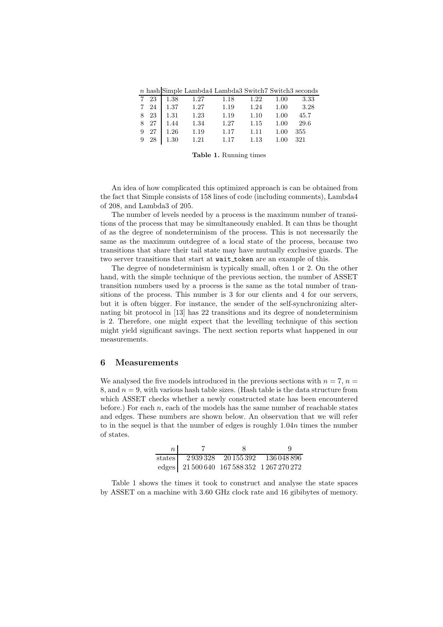| $n$ hash Simple Lambda4 Lambda3 Switch7 Switch3 seconds |  |
|---------------------------------------------------------|--|
|---------------------------------------------------------|--|

|  |  | $\begin{array}{cccccc} 7 & 23 & 1.38 & 1.27 & 1.18 & 1.22 & 1.00 & 3.33 \\ 7 & 24 & 1.37 & 1.27 & 1.19 & 1.24 & 1.00 & 3.28 \\ 8 & 23 & 1.31 & 1.23 & 1.19 & 1.10 & 1.00 & 45.7 \\ 8 & 27 & 1.44 & 1.34 & 1.27 & 1.15 & 1.00 & 29.6 \\ 9 & 27 & 1.26 & 1.19 & 1.17 & 1.11 & 1.00 & 35$ |  |  |
|--|--|----------------------------------------------------------------------------------------------------------------------------------------------------------------------------------------------------------------------------------------------------------------------------------------|--|--|

Table 1. Running times

An idea of how complicated this optimized approach is can be obtained from the fact that Simple consists of 158 lines of code (including comments), Lambda4 of 208, and Lambda3 of 205.

The number of levels needed by a process is the maximum number of transitions of the process that may be simultaneously enabled. It can thus be thought of as the degree of nondeterminism of the process. This is not necessarily the same as the maximum outdegree of a local state of the process, because two transitions that share their tail state may have mutually exclusive guards. The two server transitions that start at wait token are an example of this.

The degree of nondeterminism is typically small, often 1 or 2. On the other hand, with the simple technique of the previous section, the number of ASSET transition numbers used by a process is the same as the total number of transitions of the process. This number is 3 for our clients and 4 for our servers, but it is often bigger. For instance, the sender of the self-synchronizing alternating bit protocol in [13] has 22 transitions and its degree of nondeterminism is 2. Therefore, one might expect that the levelling technique of this section might yield significant savings. The next section reports what happened in our measurements.

#### 6 Measurements

We analysed the five models introduced in the previous sections with  $n = 7$ ,  $n =$ 8, and  $n = 9$ , with various hash table sizes. (Hash table is the data structure from which ASSET checks whether a newly constructed state has been encountered before.) For each  $n$ , each of the models has the same number of reachable states and edges. These numbers are shown below. An observation that we will refer to in the sequel is that the number of edges is roughly  $1.04n$  times the number of states.

| $n_{\scriptscriptstyle\perp}$ |                                         |                                              |
|-------------------------------|-----------------------------------------|----------------------------------------------|
|                               | states   2939328 20155 $\overline{392}$ | - 136 048 896                                |
|                               |                                         | edges   21 500 640 167 588 352 1 267 270 272 |

Table 1 shows the times it took to construct and analyse the state spaces by ASSET on a machine with 3.60 GHz clock rate and 16 gibibytes of memory.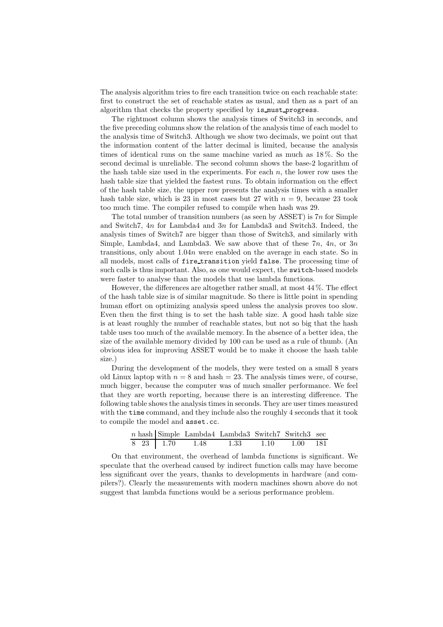The analysis algorithm tries to fire each transition twice on each reachable state: first to construct the set of reachable states as usual, and then as a part of an algorithm that checks the property specified by is must progress.

The rightmost column shows the analysis times of Switch3 in seconds, and the five preceding columns show the relation of the analysis time of each model to the analysis time of Switch3. Although we show two decimals, we point out that the information content of the latter decimal is limited, because the analysis times of identical runs on the same machine varied as much as 18 %. So the second decimal is unreliable. The second column shows the base-2 logarithm of the hash table size used in the experiments. For each  $n$ , the lower row uses the hash table size that yielded the fastest runs. To obtain information on the effect of the hash table size, the upper row presents the analysis times with a smaller hash table size, which is 23 in most cases but 27 with  $n = 9$ , because 23 took too much time. The compiler refused to compile when hash was 29.

The total number of transition numbers (as seen by ASSET) is  $7n$  for Simple and Switch7, 4n for Lambda4 and 3n for Lambda3 and Switch3. Indeed, the analysis times of Switch7 are bigger than those of Switch3, and similarly with Simple, Lambda4, and Lambda3. We saw above that of these  $7n$ ,  $4n$ , or  $3n$ transitions, only about  $1.04n$  were enabled on the average in each state. So in all models, most calls of fire transition yield false. The processing time of such calls is thus important. Also, as one would expect, the switch-based models were faster to analyse than the models that use lambda functions.

However, the differences are altogether rather small, at most 44 %. The effect of the hash table size is of similar magnitude. So there is little point in spending human effort on optimizing analysis speed unless the analysis proves too slow. Even then the first thing is to set the hash table size. A good hash table size is at least roughly the number of reachable states, but not so big that the hash table uses too much of the available memory. In the absence of a better idea, the size of the available memory divided by 100 can be used as a rule of thumb. (An obvious idea for improving ASSET would be to make it choose the hash table size.)

During the development of the models, they were tested on a small 8 years old Linux laptop with  $n = 8$  and hash  $= 23$ . The analysis times were, of course, much bigger, because the computer was of much smaller performance. We feel that they are worth reporting, because there is an interesting difference. The following table shows the analysis times in seconds. They are user times measured with the time command, and they include also the roughly 4 seconds that it took to compile the model and asset.cc.

n hash Simple Lambda4 Lambda3 Switch7 Switch3 sec 8 23 1.70 1.48 1.33 1.10 1.00 181

On that environment, the overhead of lambda functions is significant. We speculate that the overhead caused by indirect function calls may have become less significant over the years, thanks to developments in hardware (and compilers?). Clearly the measurements with modern machines shown above do not suggest that lambda functions would be a serious performance problem.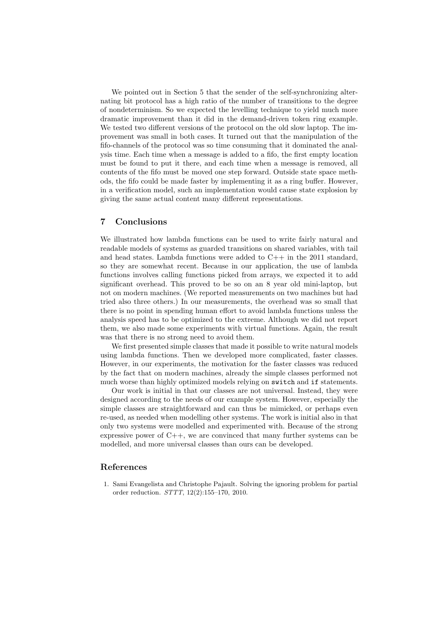We pointed out in Section 5 that the sender of the self-synchronizing alternating bit protocol has a high ratio of the number of transitions to the degree of nondeterminism. So we expected the levelling technique to yield much more dramatic improvement than it did in the demand-driven token ring example. We tested two different versions of the protocol on the old slow laptop. The improvement was small in both cases. It turned out that the manipulation of the fifo-channels of the protocol was so time consuming that it dominated the analysis time. Each time when a message is added to a fifo, the first empty location must be found to put it there, and each time when a message is removed, all contents of the fifo must be moved one step forward. Outside state space methods, the fifo could be made faster by implementing it as a ring buffer. However, in a verification model, such an implementation would cause state explosion by giving the same actual content many different representations.

### 7 Conclusions

We illustrated how lambda functions can be used to write fairly natural and readable models of systems as guarded transitions on shared variables, with tail and head states. Lambda functions were added to  $C_{++}$  in the 2011 standard, so they are somewhat recent. Because in our application, the use of lambda functions involves calling functions picked from arrays, we expected it to add significant overhead. This proved to be so on an 8 year old mini-laptop, but not on modern machines. (We reported measurements on two machines but had tried also three others.) In our measurements, the overhead was so small that there is no point in spending human effort to avoid lambda functions unless the analysis speed has to be optimized to the extreme. Although we did not report them, we also made some experiments with virtual functions. Again, the result was that there is no strong need to avoid them.

We first presented simple classes that made it possible to write natural models using lambda functions. Then we developed more complicated, faster classes. However, in our experiments, the motivation for the faster classes was reduced by the fact that on modern machines, already the simple classes performed not much worse than highly optimized models relying on switch and if statements.

Our work is initial in that our classes are not universal. Instead, they were designed according to the needs of our example system. However, especially the simple classes are straightforward and can thus be mimicked, or perhaps even re-used, as needed when modelling other systems. The work is initial also in that only two systems were modelled and experimented with. Because of the strong expressive power of  $C_{++}$ , we are convinced that many further systems can be modelled, and more universal classes than ours can be developed.

#### References

1. Sami Evangelista and Christophe Pajault. Solving the ignoring problem for partial order reduction. *STTT*, 12(2):155–170, 2010.